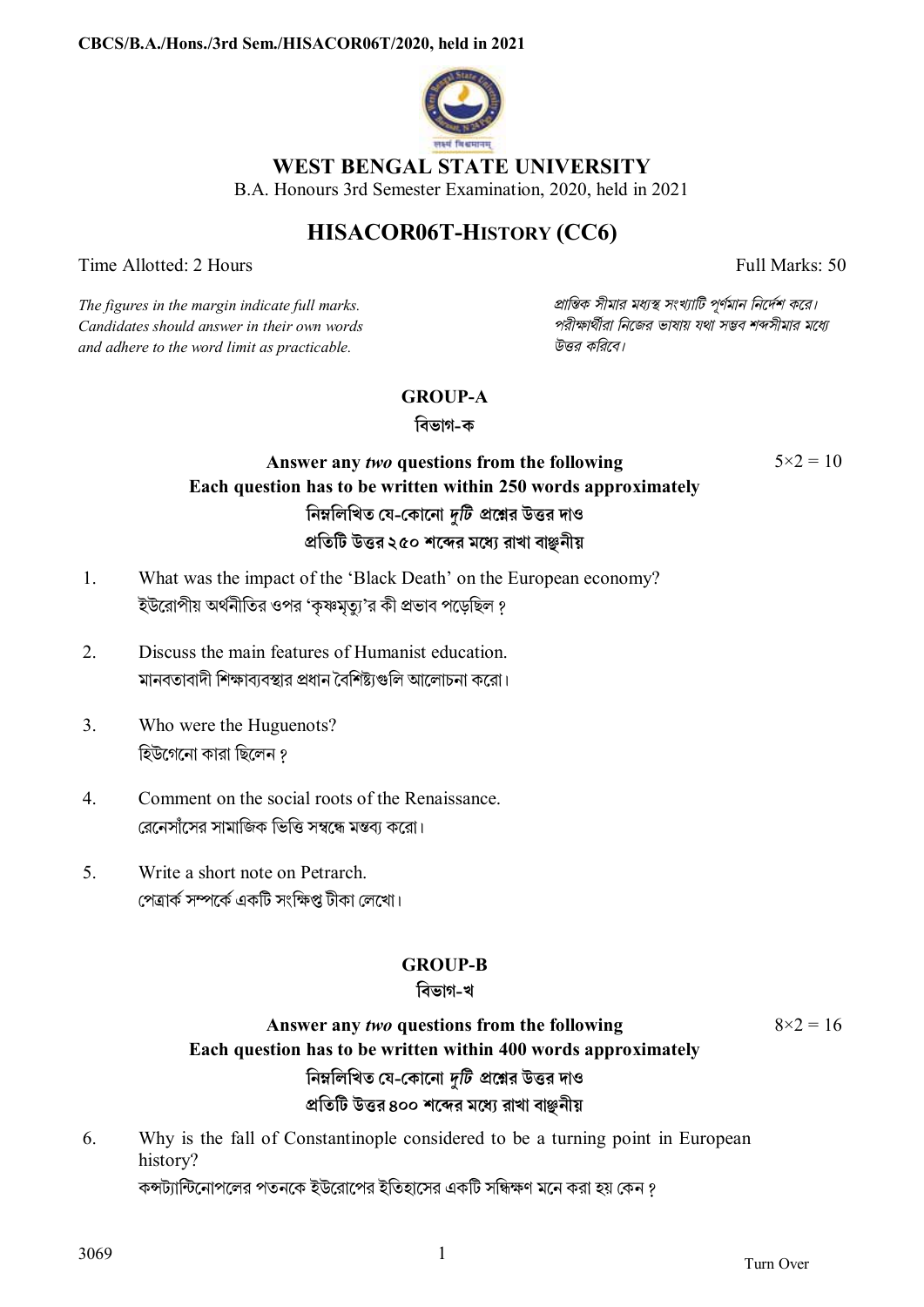

### **WEST BENGAL STATE UNIVERSITY**

B.A. Honours 3rd Semester Examination, 2020, held in 2021

# **HISACOR06T-HISTORY (CC6)**

Time Allotted: 2 Hours Full Marks: 50

 $5 \times 2 = 10$ 

*Candidates should answer in their own words পরীkাথীরা িনেজর ভাষায় যথা সmব শbসীমার মেধ° and adhere to the word limit as practicable. উtর কিরেব।*

*The figures in the margin indicate full marks. pািnক সীমার মধ°s সংখ°ািট পূণমান িনেদশ কের।*

### **GROUP-A**

**িবভাগ-ক**

# **Answer any** *two* **questions from the following Each question has to be written within 250 words approximately িনmিলিখত েয-েকােনা** *dিট* **pেűর উtর দাও pিতিট উtর ২৫০ শেbর মেধ° রাখা বাāনীয়**

- 1. What was the impact of the 'Black Death' on the European economy? ইউরোপীয় অর্থনীতির ওপর 'কৃষ্ণমৃত্যু'র কী প্রভাব পড়েছিল ?
- 2. Discuss the main features of Humanist education. মানবতাবাদী শিক্ষাব্যবস্থার প্রধান বৈশিষ্ট্যগুলি আলোচনা করো।
- 3. Who were the Huguenots? হিউগেনো কারা ছিলেন ?
- 4. Comment on the social roots of the Renaissance. রেনেসাঁসের সামাজিক ভিত্তি সম্বন্ধে মন্তব্য করো।
- 5. Write a short note on Petrarch. পেত্ৰাৰ্ক সম্পৰ্কে একটি সংক্ষিপ্ত টীকা লেখো।

#### **GROUP-B**

### **িবভাগ-খ**

## **Answer any** *two* **questions from the following Each question has to be written within 400 words approximately িনmিলিখত েয-েকােনা** *dিট* **pেűর উtর দাও pিতিট উtর ৪০০ শেbর মেধ° রাখা বাāনীয়**

6. Why is the fall of Constantinople considered to be a turning point in European history?

কন্সট্যান্টিনোপলের পতনকে ইউরোপের ইতিহাসের একটি সন্ধিক্ষণ মনে করা হয় কেন ?

 $8 \times 2 = 16$